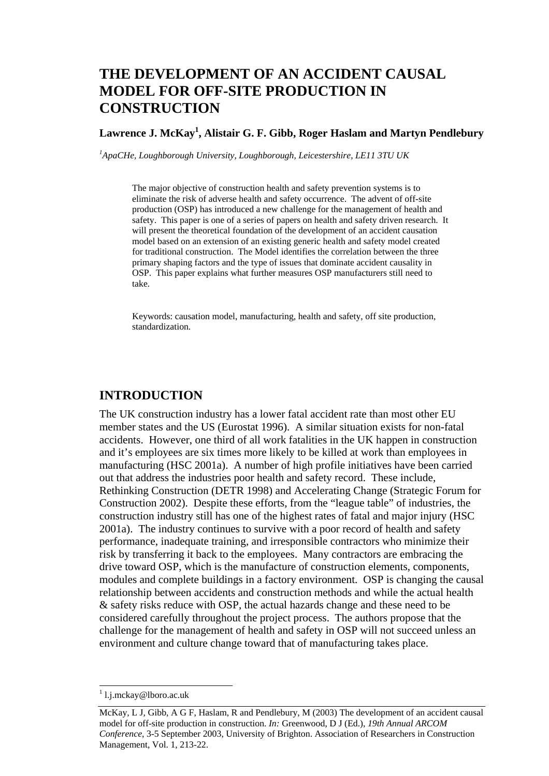# **THE DEVELOPMENT OF AN ACCIDENT CAUSAL MODEL FOR OFF-SITE PRODUCTION IN CONSTRUCTION**

# **Lawrence J. McKay1 , Alistair G. F. Gibb, Roger Haslam and Martyn Pendlebury**

*1 ApaCHe, Loughborough University, Loughborough, Leicestershire, LE11 3TU UK* 

The major objective of construction health and safety prevention systems is to eliminate the risk of adverse health and safety occurrence. The advent of off-site production (OSP) has introduced a new challenge for the management of health and safety. This paper is one of a series of papers on health and safety driven research. It will present the theoretical foundation of the development of an accident causation model based on an extension of an existing generic health and safety model created for traditional construction. The Model identifies the correlation between the three primary shaping factors and the type of issues that dominate accident causality in OSP. This paper explains what further measures OSP manufacturers still need to take.

Keywords: causation model, manufacturing, health and safety, off site production, standardization.

### **INTRODUCTION**

The UK construction industry has a lower fatal accident rate than most other EU member states and the US (Eurostat 1996). A similar situation exists for non-fatal accidents. However, one third of all work fatalities in the UK happen in construction and it's employees are six times more likely to be killed at work than employees in manufacturing (HSC 2001a). A number of high profile initiatives have been carried out that address the industries poor health and safety record. These include, Rethinking Construction (DETR 1998) and Accelerating Change (Strategic Forum for Construction 2002). Despite these efforts, from the "league table" of industries, the construction industry still has one of the highest rates of fatal and major injury (HSC 2001a). The industry continues to survive with a poor record of health and safety performance, inadequate training, and irresponsible contractors who minimize their risk by transferring it back to the employees. Many contractors are embracing the drive toward OSP, which is the manufacture of construction elements, components, modules and complete buildings in a factory environment. OSP is changing the causal relationship between accidents and construction methods and while the actual health & safety risks reduce with OSP, the actual hazards change and these need to be considered carefully throughout the project process. The authors propose that the challenge for the management of health and safety in OSP will not succeed unless an environment and culture change toward that of manufacturing takes place.

l

<sup>&</sup>lt;sup>1</sup> l.j.mckay@lboro.ac.uk

McKay, L J, Gibb, A G F, Haslam, R and Pendlebury, M (2003) The development of an accident causal model for off-site production in construction. *In:* Greenwood, D J (Ed.), *19th Annual ARCOM Conference*, 3-5 September 2003, University of Brighton. Association of Researchers in Construction Management, Vol. 1, 213-22.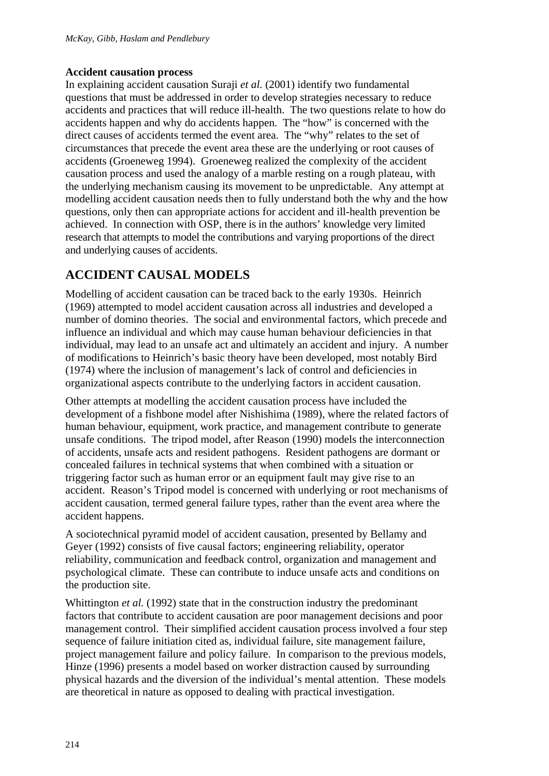# **Accident causation process**

In explaining accident causation Suraji *et al.* (2001) identify two fundamental questions that must be addressed in order to develop strategies necessary to reduce accidents and practices that will reduce ill-health. The two questions relate to how do accidents happen and why do accidents happen. The "how" is concerned with the direct causes of accidents termed the event area. The "why" relates to the set of circumstances that precede the event area these are the underlying or root causes of accidents (Groeneweg 1994). Groeneweg realized the complexity of the accident causation process and used the analogy of a marble resting on a rough plateau, with the underlying mechanism causing its movement to be unpredictable. Any attempt at modelling accident causation needs then to fully understand both the why and the how questions, only then can appropriate actions for accident and ill-health prevention be achieved. In connection with OSP, there is in the authors' knowledge very limited research that attempts to model the contributions and varying proportions of the direct and underlying causes of accidents.

# **ACCIDENT CAUSAL MODELS**

Modelling of accident causation can be traced back to the early 1930s. Heinrich (1969) attempted to model accident causation across all industries and developed a number of domino theories. The social and environmental factors, which precede and influence an individual and which may cause human behaviour deficiencies in that individual, may lead to an unsafe act and ultimately an accident and injury. A number of modifications to Heinrich's basic theory have been developed, most notably Bird (1974) where the inclusion of management's lack of control and deficiencies in organizational aspects contribute to the underlying factors in accident causation.

Other attempts at modelling the accident causation process have included the development of a fishbone model after Nishishima (1989), where the related factors of human behaviour, equipment, work practice, and management contribute to generate unsafe conditions. The tripod model, after Reason (1990) models the interconnection of accidents, unsafe acts and resident pathogens. Resident pathogens are dormant or concealed failures in technical systems that when combined with a situation or triggering factor such as human error or an equipment fault may give rise to an accident. Reason's Tripod model is concerned with underlying or root mechanisms of accident causation, termed general failure types, rather than the event area where the accident happens.

A sociotechnical pyramid model of accident causation, presented by Bellamy and Geyer (1992) consists of five causal factors; engineering reliability, operator reliability, communication and feedback control, organization and management and psychological climate. These can contribute to induce unsafe acts and conditions on the production site.

Whittington *et al.* (1992) state that in the construction industry the predominant factors that contribute to accident causation are poor management decisions and poor management control. Their simplified accident causation process involved a four step sequence of failure initiation cited as, individual failure, site management failure, project management failure and policy failure. In comparison to the previous models, Hinze (1996) presents a model based on worker distraction caused by surrounding physical hazards and the diversion of the individual's mental attention. These models are theoretical in nature as opposed to dealing with practical investigation.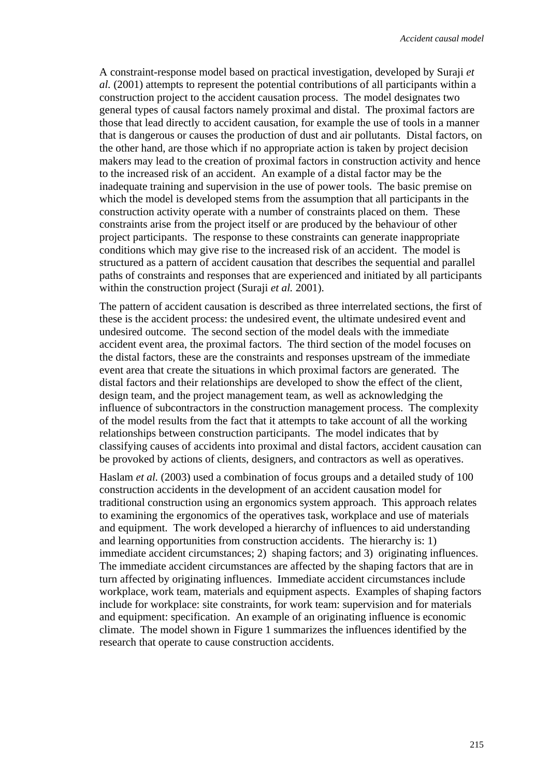A constraint-response model based on practical investigation, developed by Suraji *et al.* (2001) attempts to represent the potential contributions of all participants within a construction project to the accident causation process. The model designates two general types of causal factors namely proximal and distal. The proximal factors are those that lead directly to accident causation, for example the use of tools in a manner that is dangerous or causes the production of dust and air pollutants. Distal factors, on the other hand, are those which if no appropriate action is taken by project decision makers may lead to the creation of proximal factors in construction activity and hence to the increased risk of an accident. An example of a distal factor may be the inadequate training and supervision in the use of power tools. The basic premise on which the model is developed stems from the assumption that all participants in the construction activity operate with a number of constraints placed on them. These constraints arise from the project itself or are produced by the behaviour of other project participants. The response to these constraints can generate inappropriate conditions which may give rise to the increased risk of an accident. The model is structured as a pattern of accident causation that describes the sequential and parallel paths of constraints and responses that are experienced and initiated by all participants within the construction project (Suraji *et al.* 2001).

The pattern of accident causation is described as three interrelated sections, the first of these is the accident process: the undesired event, the ultimate undesired event and undesired outcome. The second section of the model deals with the immediate accident event area, the proximal factors. The third section of the model focuses on the distal factors, these are the constraints and responses upstream of the immediate event area that create the situations in which proximal factors are generated. The distal factors and their relationships are developed to show the effect of the client, design team, and the project management team, as well as acknowledging the influence of subcontractors in the construction management process. The complexity of the model results from the fact that it attempts to take account of all the working relationships between construction participants. The model indicates that by classifying causes of accidents into proximal and distal factors, accident causation can be provoked by actions of clients, designers, and contractors as well as operatives.

Haslam *et al.* (2003) used a combination of focus groups and a detailed study of 100 construction accidents in the development of an accident causation model for traditional construction using an ergonomics system approach. This approach relates to examining the ergonomics of the operatives task, workplace and use of materials and equipment. The work developed a hierarchy of influences to aid understanding and learning opportunities from construction accidents. The hierarchy is: 1) immediate accident circumstances; 2) shaping factors; and 3) originating influences. The immediate accident circumstances are affected by the shaping factors that are in turn affected by originating influences. Immediate accident circumstances include workplace, work team, materials and equipment aspects. Examples of shaping factors include for workplace: site constraints, for work team: supervision and for materials and equipment: specification. An example of an originating influence is economic climate. The model shown in Figure 1 summarizes the influences identified by the research that operate to cause construction accidents.

215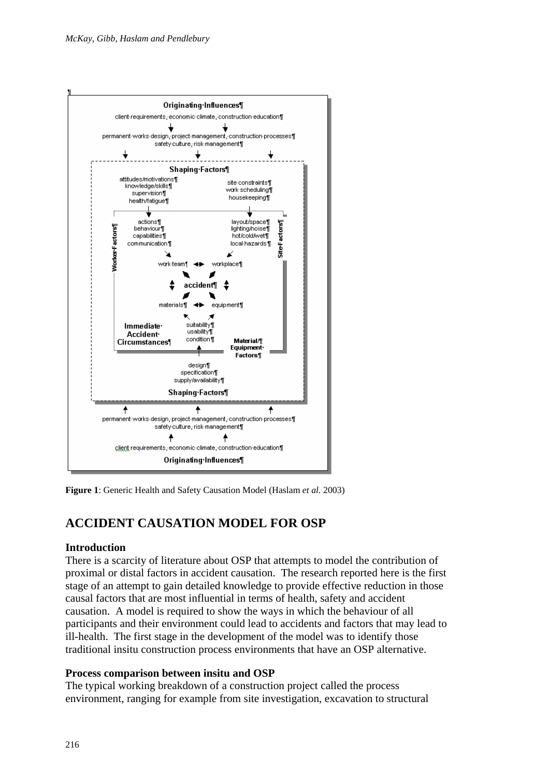

**Figure 1**: Generic Health and Safety Causation Model (Haslam *et al.* 2003)

# **ACCIDENT CAUSATION MODEL FOR OSP**

### **Introduction**

There is a scarcity of literature about OSP that attempts to model the contribution of proximal or distal factors in accident causation. The research reported here is the first stage of an attempt to gain detailed knowledge to provide effective reduction in those causal factors that are most influential in terms of health, safety and accident causation. A model is required to show the ways in which the behaviour of all participants and their environment could lead to accidents and factors that may lead to ill-health. The first stage in the development of the model was to identify those traditional insitu construction process environments that have an OSP alternative.

### **Process comparison between insitu and OSP**

The typical working breakdown of a construction project called the process environment, ranging for example from site investigation, excavation to structural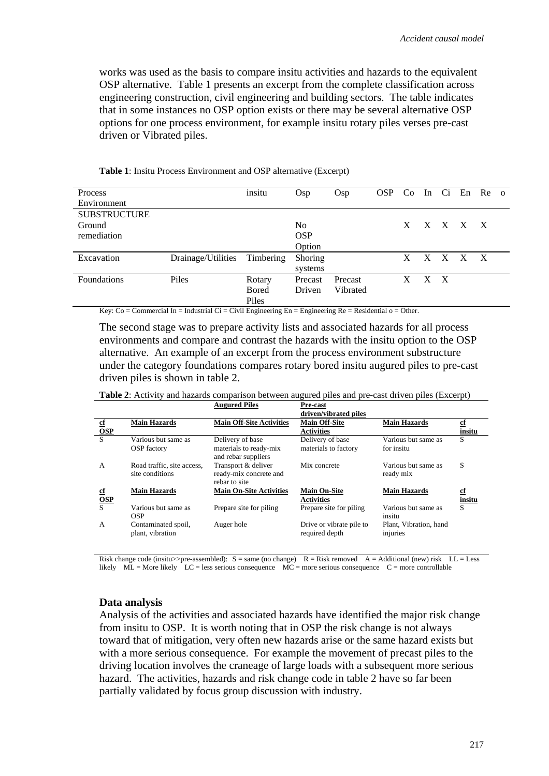works was used as the basis to compare insitu activities and hazards to the equivalent OSP alternative. Table 1 presents an excerpt from the complete classification across engineering construction, civil engineering and building sectors. The table indicates that in some instances no OSP option exists or there may be several alternative OSP options for one process environment, for example insitu rotary piles verses pre-cast driven or Vibrated piles.

| <b>Process</b>      |                              | insitu       | Osp            | Osp      | <b>OSP</b> |    |   |              | Co In Ci En Re |              | $\Omega$ |
|---------------------|------------------------------|--------------|----------------|----------|------------|----|---|--------------|----------------|--------------|----------|
| Environment         |                              |              |                |          |            |    |   |              |                |              |          |
| <b>SUBSTRUCTURE</b> |                              |              |                |          |            |    |   |              |                |              |          |
| Ground              |                              |              | No.            |          |            | X. |   |              | X X X X        |              |          |
| remediation         |                              |              | <b>OSP</b>     |          |            |    |   |              |                |              |          |
|                     |                              |              | Option         |          |            |    |   |              |                |              |          |
| Excavation          | Drainage/Utilities Timbering |              | <b>Shoring</b> |          |            | X. |   | $X \times X$ |                | $\mathbf{X}$ |          |
|                     |                              |              | systems        |          |            |    |   |              |                |              |          |
| <b>Foundations</b>  | Piles                        | Rotary       | Precast        | Precast  |            | X  | X | $\mathbf{X}$ |                |              |          |
|                     |                              | <b>Bored</b> | Driven         | Vibrated |            |    |   |              |                |              |          |
|                     |                              | Piles        |                |          |            |    |   |              |                |              |          |

**Table 1**: Insitu Process Environment and OSP alternative (Excerpt)

Key:  $Co =$  Commercial In = Industrial  $Ci =$  Civil Engineering En = Engineering Re = Residential  $o =$  Other.

The second stage was to prepare activity lists and associated hazards for all process environments and compare and contrast the hazards with the insitu option to the OSP alternative. An example of an excerpt from the process environment substructure under the category foundations compares rotary bored insitu augured piles to pre-cast driven piles is shown in table 2.

|                           |                                               | <b>Augured Piles</b>                                              | Pre-cast                                                           |                                    |                     |
|---------------------------|-----------------------------------------------|-------------------------------------------------------------------|--------------------------------------------------------------------|------------------------------------|---------------------|
| $_{\rm cf}$<br><b>OSP</b> | <b>Main Hazards</b>                           | <b>Main Off-Site Activities</b>                                   | driven/vibrated piles<br><b>Main Off-Site</b><br><b>Activities</b> | <b>Main Hazards</b>                | <u>cf</u><br>insitu |
| S                         | Various but same as<br><b>OSP</b> factory     | Delivery of base<br>materials to ready-mix<br>and rebar suppliers | Delivery of base<br>materials to factory                           | Various but same as<br>for insitu  | S                   |
| A                         | Road traffic, site access.<br>site conditions | Transport & deliver<br>ready-mix concrete and<br>rebar to site    | Mix concrete                                                       | Various but same as<br>ready mix   | S                   |
| <u>cf</u><br>OSP          | <b>Main Hazards</b>                           | <b>Main On-Site Activities</b>                                    | <b>Main On-Site</b><br><b>Activities</b>                           | <b>Main Hazards</b>                | <u>cf</u><br>insitu |
|                           | Various but same as<br><b>OSP</b>             | Prepare site for piling                                           | Prepare site for piling                                            | Various but same as<br>insitu      | S                   |
| A                         | Contaminated spoil,<br>plant, vibration       | Auger hole                                                        | Drive or vibrate pile to<br>required depth                         | Plant, Vibration, hand<br>injuries |                     |

**Table 2**: Activity and hazards comparison between augured piles and pre-cast driven piles (Excerpt)

Risk change code (insitu>>pre-assembled):  $S = same (no change)$   $R = Risk removed$   $A = Additional (new) risk$   $LL = Less$ likely ML = More likely LC = less serious consequence MC = more serious consequence C = more controllable

#### **Data analysis**

Analysis of the activities and associated hazards have identified the major risk change from insitu to OSP. It is worth noting that in OSP the risk change is not always toward that of mitigation, very often new hazards arise or the same hazard exists but with a more serious consequence. For example the movement of precast piles to the driving location involves the craneage of large loads with a subsequent more serious hazard. The activities, hazards and risk change code in table 2 have so far been partially validated by focus group discussion with industry.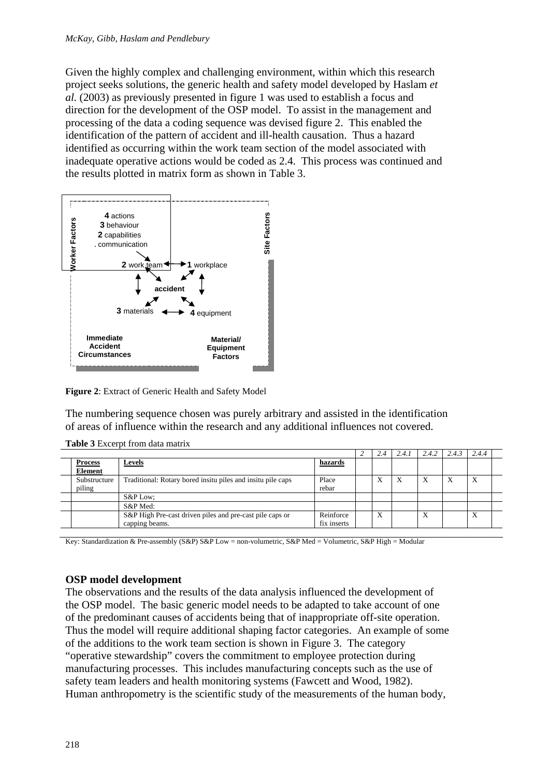Given the highly complex and challenging environment, within which this research project seeks solutions, the generic health and safety model developed by Haslam *et al.* (2003) as previously presented in figure 1 was used to establish a focus and direction for the development of the OSP model. To assist in the management and processing of the data a coding sequence was devised figure 2. This enabled the identification of the pattern of accident and ill-health causation. Thus a hazard identified as occurring within the work team section of the model associated with inadequate operative actions would be coded as 2.4. This process was continued and the results plotted in matrix form as shown in Table 3.



**Figure 2**: Extract of Generic Health and Safety Model

The numbering sequence chosen was purely arbitrary and assisted in the identification of areas of influence within the research and any additional influences not covered.

|  |                                  |                                                                            |                          | 2.4 | 2.4.1 | 2.4.2 | 2.4.5 | 2.4.4 |  |
|--|----------------------------------|----------------------------------------------------------------------------|--------------------------|-----|-------|-------|-------|-------|--|
|  | <b>Process</b><br><b>Element</b> | <u>Levels</u>                                                              | hazards                  |     |       |       |       |       |  |
|  | Substructure<br>piling           | Traditional: Rotary bored insitu piles and insitu pile caps                | Place<br>rebar           | X   | X     | X     | Х     | X     |  |
|  |                                  | S&P Low:                                                                   |                          |     |       |       |       |       |  |
|  |                                  | S&P Med:                                                                   |                          |     |       |       |       |       |  |
|  |                                  | S&P High Pre-cast driven piles and pre-cast pile caps or<br>capping beams. | Reinforce<br>fix inserts | X   |       | Χ     |       | X     |  |

**Table 3** Excerpt from data matrix

Key: Standardization & Pre-assembly (S&P) S&P Low = non-volumetric, S&P Med = Volumetric, S&P High = Modular

## **OSP model development**

The observations and the results of the data analysis influenced the development of the OSP model. The basic generic model needs to be adapted to take account of one of the predominant causes of accidents being that of inappropriate off-site operation. Thus the model will require additional shaping factor categories. An example of some of the additions to the work team section is shown in Figure 3. The category "operative stewardship" covers the commitment to employee protection during manufacturing processes. This includes manufacturing concepts such as the use of safety team leaders and health monitoring systems (Fawcett and Wood, 1982). Human anthropometry is the scientific study of the measurements of the human body,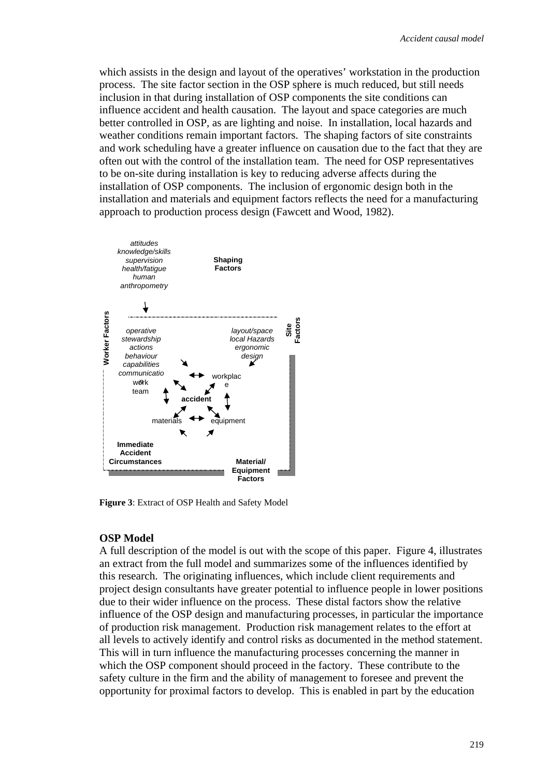which assists in the design and layout of the operatives' workstation in the production process. The site factor section in the OSP sphere is much reduced, but still needs inclusion in that during installation of OSP components the site conditions can influence accident and health causation. The layout and space categories are much better controlled in OSP, as are lighting and noise. In installation, local hazards and weather conditions remain important factors. The shaping factors of site constraints and work scheduling have a greater influence on causation due to the fact that they are often out with the control of the installation team. The need for OSP representatives to be on-site during installation is key to reducing adverse affects during the installation of OSP components. The inclusion of ergonomic design both in the installation and materials and equipment factors reflects the need for a manufacturing approach to production process design (Fawcett and Wood, 1982).



**Figure 3**: Extract of OSP Health and Safety Model

#### **OSP Model**

A full description of the model is out with the scope of this paper. Figure 4, illustrates an extract from the full model and summarizes some of the influences identified by this research. The originating influences, which include client requirements and project design consultants have greater potential to influence people in lower positions due to their wider influence on the process. These distal factors show the relative influence of the OSP design and manufacturing processes, in particular the importance of production risk management. Production risk management relates to the effort at all levels to actively identify and control risks as documented in the method statement. This will in turn influence the manufacturing processes concerning the manner in which the OSP component should proceed in the factory. These contribute to the safety culture in the firm and the ability of management to foresee and prevent the opportunity for proximal factors to develop. This is enabled in part by the education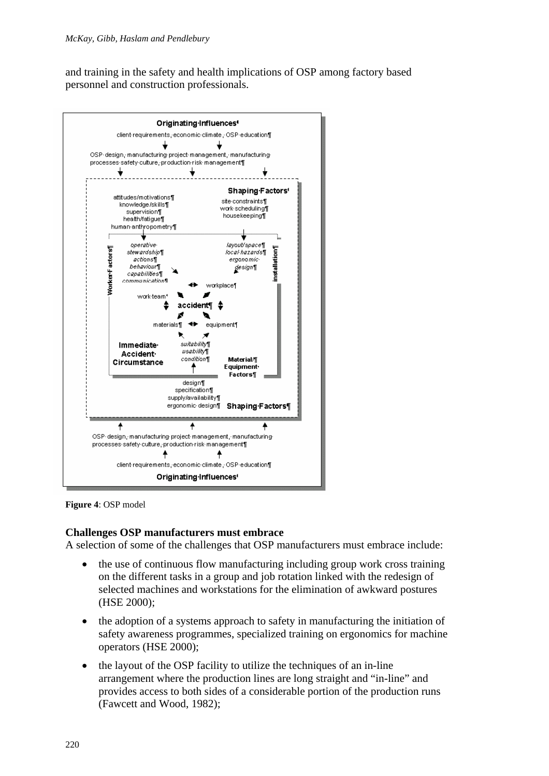and training in the safety and health implications of OSP among factory based personnel and construction professionals.



**Figure 4**: OSP model

### **Challenges OSP manufacturers must embrace**

A selection of some of the challenges that OSP manufacturers must embrace include:

- the use of continuous flow manufacturing including group work cross training on the different tasks in a group and job rotation linked with the redesign of selected machines and workstations for the elimination of awkward postures (HSE 2000);
- the adoption of a systems approach to safety in manufacturing the initiation of safety awareness programmes, specialized training on ergonomics for machine operators (HSE 2000);
- the layout of the OSP facility to utilize the techniques of an in-line arrangement where the production lines are long straight and "in-line" and provides access to both sides of a considerable portion of the production runs (Fawcett and Wood, 1982);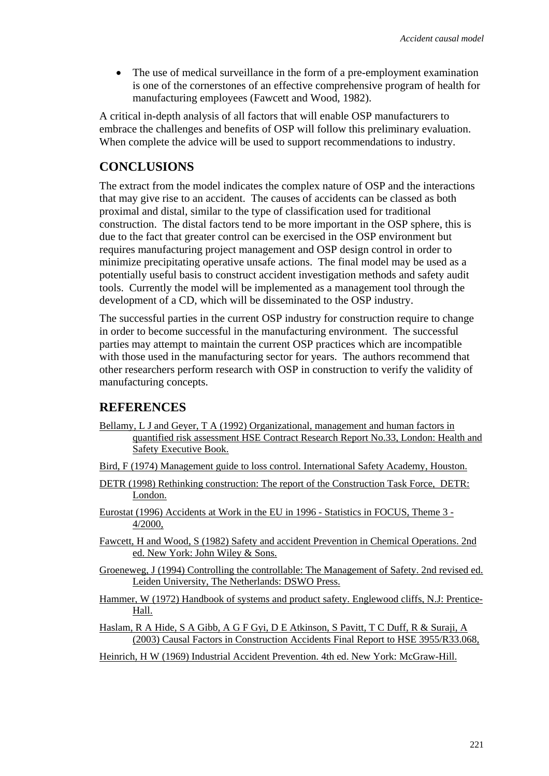• The use of medical surveillance in the form of a pre-employment examination is one of the cornerstones of an effective comprehensive program of health for manufacturing employees (Fawcett and Wood, 1982).

A critical in-depth analysis of all factors that will enable OSP manufacturers to embrace the challenges and benefits of OSP will follow this preliminary evaluation. When complete the advice will be used to support recommendations to industry.

# **CONCLUSIONS**

The extract from the model indicates the complex nature of OSP and the interactions that may give rise to an accident. The causes of accidents can be classed as both proximal and distal, similar to the type of classification used for traditional construction. The distal factors tend to be more important in the OSP sphere, this is due to the fact that greater control can be exercised in the OSP environment but requires manufacturing project management and OSP design control in order to minimize precipitating operative unsafe actions. The final model may be used as a potentially useful basis to construct accident investigation methods and safety audit tools. Currently the model will be implemented as a management tool through the development of a CD, which will be disseminated to the OSP industry.

The successful parties in the current OSP industry for construction require to change in order to become successful in the manufacturing environment. The successful parties may attempt to maintain the current OSP practices which are incompatible with those used in the manufacturing sector for years. The authors recommend that other researchers perform research with OSP in construction to verify the validity of manufacturing concepts.

## **REFERENCES**

- Bellamy, L J and Geyer, T A (1992) Organizational, management and human factors in quantified risk assessment HSE Contract Research Report No.33, London: Health and Safety Executive Book.
- Bird, F (1974) Management guide to loss control. International Safety Academy, Houston.
- DETR (1998) Rethinking construction: The report of the Construction Task Force, DETR: London.
- Eurostat (1996) Accidents at Work in the EU in 1996 Statistics in FOCUS, Theme 3 4/2000,
- Fawcett, H and Wood, S (1982) Safety and accident Prevention in Chemical Operations. 2nd ed. New York: John Wiley & Sons.
- Groeneweg, J (1994) Controlling the controllable: The Management of Safety. 2nd revised ed. Leiden University, The Netherlands: DSWO Press.
- Hammer, W (1972) Handbook of systems and product safety. Englewood cliffs, N.J: Prentice-Hall.
- Haslam, R A Hide, S A Gibb, A G F Gyi, D E Atkinson, S Pavitt, T C Duff, R & Suraji, A (2003) Causal Factors in Construction Accidents Final Report to HSE 3955/R33.068,
- Heinrich, H W (1969) Industrial Accident Prevention. 4th ed. New York: McGraw-Hill.